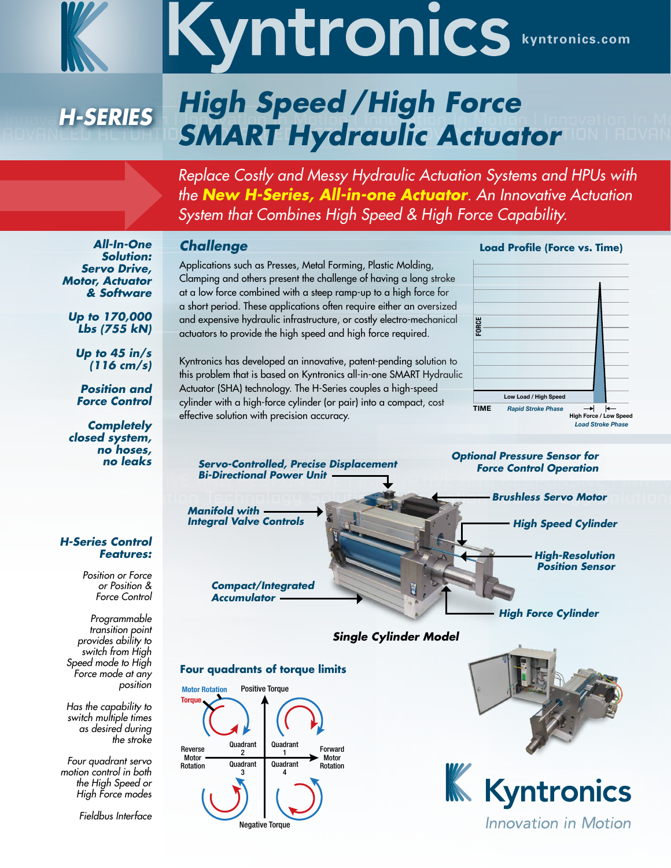

# Kyntronics.com

# *High Speed / High Force SMART Hydraulic Actuator H-Series*

*Replace Costly and Messy Hydraulic Actuation Systems and HPUs with the New H-Series, All-in-one Actuator. An Innovative Actuation System that Combines High Speed & High Force Capability.*

# *Challenge*

Applications such as Presses, Metal Forming, Plastic Molding, Clamping and others present the challenge of having a long stroke at a low force combined with a steep ramp-up to a high force for a short period. These applications often require either an oversized and expensive hydraulic infrastructure, or costly electro-mechanical actuators to provide the high speed and high force required.

Kyntronics has developed an innovative, patent-pending solution to this problem that is based on Kyntronics all-in-one SMART Hydraulic Actuator (SHA) technology. The H-Series couples a high-speed cylinder with a high-force cylinder (or pair) into a compact, cost effective solution with precision accuracy.

## **Load Profile (Force vs. Time)**





**Four quadrants of torque limits**







*All-In-One Solution: Servo Drive, Motor, Actuator & Software*

*Up to 170,000 Lbs (755 kN)*

*Up to 45 in/s (116 cm/s)*

*Position and Force Control* 

*Completely closed system, no hoses, no leaks*

### *H-Series Control Features:*

*Position or Force or Position & Force Control*

*Programmable transition point provides ability to switch from High Speed mode to High Force mode at any position* 

*Has the capability to switch multiple times as desired during the stroke*

*Four quadrant servo motion control in both the High Speed or High Force modes*

*Fieldbus Interface*